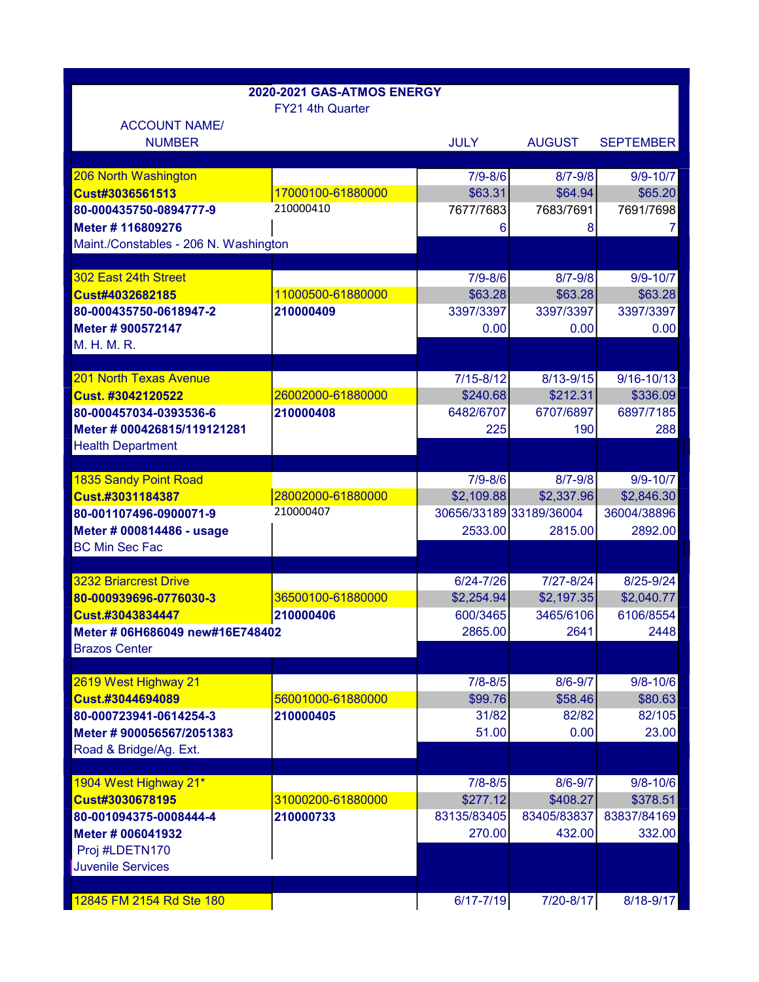|                                                    | 2020-2021 GAS-ATMOS ENERGY |                         |                        |                  |
|----------------------------------------------------|----------------------------|-------------------------|------------------------|------------------|
| <b>ACCOUNT NAME/</b>                               | FY21 4th Quarter           |                         |                        |                  |
| <b>NUMBER</b>                                      |                            | <b>JULY</b>             | <b>AUGUST</b>          | <b>SEPTEMBER</b> |
| 206 North Washington                               |                            | $7/9 - 8/6$             | $8/7 - 9/8$            | $9/9 - 10/7$     |
| Cust#3036561513                                    | 17000100-61880000          | \$63.31                 | \$64.94                | \$65.20          |
| 80-000435750-0894777-9                             | 210000410                  | 7677/7683               | 7683/7691              | 7691/7698        |
|                                                    |                            |                         |                        |                  |
| Meter # 116809276                                  |                            | 6                       | 8                      | 7.               |
| Maint./Constables - 206 N. Washington              |                            |                         |                        |                  |
| 302 East 24th Street                               |                            | $7/9 - 8/6$             | $8/7 - 9/8$            | $9/9 - 10/7$     |
| Cust#4032682185                                    | 11000500-61880000          | \$63.28                 | \$63.28                | \$63.28          |
| 80-000435750-0618947-2                             | 210000409                  | 3397/3397               | 3397/3397              | 3397/3397        |
| Meter # 900572147                                  |                            | 0.00                    | 0.00                   | 0.00             |
| M. H. M. R.                                        |                            |                         |                        |                  |
|                                                    |                            |                         |                        |                  |
| <b>201 North Texas Avenue</b>                      |                            | $7/15 - 8/12$           | 8/13-9/15              | $9/16 - 10/13$   |
| Cust. #3042120522                                  | 26002000-61880000          | \$240.68                | \$212.31               | \$336.09         |
| 80-000457034-0393536-6                             | 210000408                  | 6482/6707               | 6707/6897              | 6897/7185        |
| Meter # 000426815/119121281                        |                            | 225                     | 190                    | 288              |
| <b>Health Department</b>                           |                            |                         |                        |                  |
|                                                    |                            |                         |                        |                  |
| <b>1835 Sandy Point Road</b>                       |                            | $7/9 - 8/6$             | $8/7 - 9/8$            | $9/9 - 10/7$     |
| Cust.#3031184387                                   | 28002000-61880000          | \$2,109.88              | \$2,337.96             | \$2,846.30       |
| 80-001107496-0900071-9                             | 210000407                  | 30656/33189 33189/36004 |                        | 36004/38896      |
|                                                    |                            |                         |                        |                  |
| Meter # 000814486 - usage<br><b>BC Min Sec Fac</b> |                            | 2533.00                 | 2815.00                | 2892.00          |
|                                                    |                            |                         |                        |                  |
| <b>3232 Briarcrest Drive</b>                       |                            | 6/24-7/26               | 7/27-8/24              | 8/25-9/24        |
| 80-000939696-0776030-3                             | 36500100-61880000          | \$2,254.94              | \$2,197.35             | \$2,040.77       |
| Cust.#3043834447                                   | 210000406                  | 600/3465                | 3465/6106              | 6106/8554        |
|                                                    |                            | 2865.00                 | 2641                   | 2448             |
| <b>Brazos Center</b>                               |                            |                         |                        |                  |
|                                                    |                            |                         |                        |                  |
|                                                    |                            | $7/8 - 8/5$             |                        | $9/8 - 10/6$     |
| 2619 West Highway 21<br>Cust.#3044694089           | 56001000-61880000          | \$99.76                 | $8/6 - 9/7$<br>\$58.46 | \$80.63          |
| 80-000723941-0614254-3                             | 210000405                  | 31/82                   | 82/82                  | 82/105           |
| Meter #900056567/2051383                           |                            | 51.00                   | 0.00                   | 23.00            |
| Road & Bridge/Ag. Ext.                             |                            |                         |                        |                  |
|                                                    |                            |                         |                        |                  |
| 1904 West Highway 21*                              |                            | $7/8 - 8/5$             | $8/6 - 9/7$            | $9/8 - 10/6$     |
| Cust#3030678195                                    | 31000200-61880000          | \$277.12                | \$408.27               | \$378.51         |
| 80-001094375-0008444-4                             | 210000733                  | 83135/83405             | 83405/83837            | 83837/84169      |
| Meter # 006041932                                  |                            | 270.00                  | 432.00                 | 332.00           |
| Proj #LDETN170                                     |                            |                         |                        |                  |
| <b>Juvenile Services</b>                           |                            |                         |                        |                  |
|                                                    |                            |                         |                        |                  |
| 12845 FM 2154 Rd Ste 180                           |                            | 6/17-7/19               | 7/20-8/17              | 8/18-9/17        |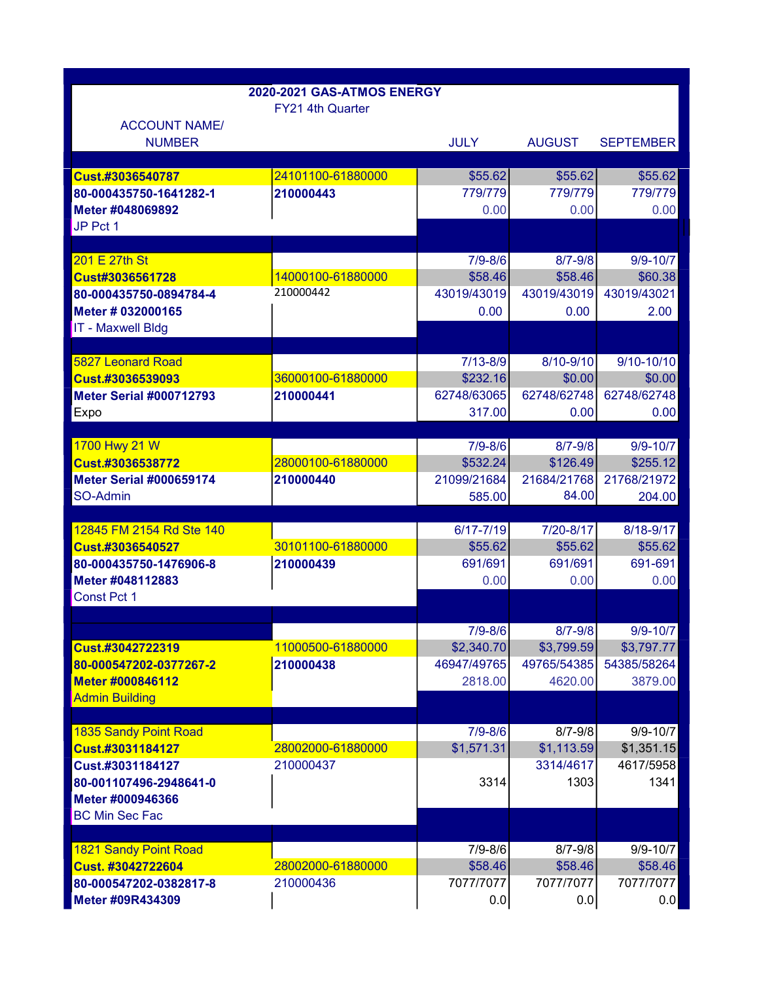|                                            | 2020-2021 GAS-ATMOS ENERGY |                         |                         |                         |
|--------------------------------------------|----------------------------|-------------------------|-------------------------|-------------------------|
|                                            | FY21 4th Quarter           |                         |                         |                         |
| <b>ACCOUNT NAME/</b><br><b>NUMBER</b>      |                            | <b>JULY</b>             | <b>AUGUST</b>           | <b>SEPTEMBER</b>        |
| Cust.#3036540787                           | 24101100-61880000          | \$55.62                 | \$55.62                 | \$55.62                 |
| 80-000435750-1641282-1                     | 210000443                  | 779/779                 | 779/779                 | 779/779                 |
| Meter #048069892                           |                            | 0.00                    | 0.00                    | 0.00                    |
| JP Pct 1                                   |                            |                         |                         |                         |
|                                            |                            |                         |                         |                         |
| 201 E 27th St                              |                            | $7/9 - 8/6$             | $8/7 - 9/8$             | $9/9 - 10/7$            |
| Cust#3036561728                            | 14000100-61880000          | \$58.46                 | \$58.46                 | \$60.38                 |
| 80-000435750-0894784-4                     | 210000442                  | 43019/43019             | 43019/43019             | 43019/43021             |
| Meter # 032000165                          |                            | 0.00                    | 0.00                    | 2.00                    |
| <b>IT - Maxwell Bldg</b>                   |                            |                         |                         |                         |
|                                            |                            |                         |                         |                         |
| <b>5827 Leonard Road</b>                   |                            | $7/13 - 8/9$            | 8/10-9/10               | $9/10 - 10/10$          |
| Cust.#3036539093                           | 36000100-61880000          | \$232.16                | \$0.00                  | \$0.00                  |
| <b>Meter Serial #000712793</b>             | 210000441                  | 62748/63065             | 62748/62748             | 62748/62748             |
| Expo                                       |                            | 317.00                  | 0.00                    | 0.00                    |
|                                            |                            |                         |                         |                         |
| 1700 Hwy 21 W                              |                            | $7/9 - 8/6$             | $8/7 - 9/8$             | $9/9 - 10/7$            |
| Cust.#3036538772                           | 28000100-61880000          | \$532.24<br>21099/21684 | \$126.49<br>21684/21768 | \$255.12<br>21768/21972 |
| <b>Meter Serial #000659174</b><br>SO-Admin | 210000440                  | 585.00                  | 84.00                   | 204.00                  |
|                                            |                            |                         |                         |                         |
| 12845 FM 2154 Rd Ste 140                   |                            | $6/17 - 7/19$           | 7/20-8/17               | 8/18-9/17               |
| Cust.#3036540527                           | 30101100-61880000          | \$55.62                 | \$55.62                 | \$55.62                 |
| 80-000435750-1476906-8                     | 210000439                  | 691/691                 | 691/691                 | 691-691                 |
| Meter #048112883                           |                            | 0.00                    | 0.00                    | 0.00                    |
| Const Pct 1                                |                            |                         |                         |                         |
|                                            |                            |                         |                         |                         |
|                                            |                            | $7/9 - 8/6$             | $8/7 - 9/8$             | $9/9 - 10/7$            |
| Cust.#3042722319                           | 11000500-61880000          | \$2,340.70              | \$3,799.59              | \$3,797.77              |
| 80-000547202-0377267-2                     | 210000438                  | 46947/49765             | 49765/54385             | 54385/58264             |
| Meter #000846112                           |                            | 2818.00                 | 4620.00                 | 3879.00                 |
| <b>Admin Building</b>                      |                            |                         |                         |                         |
|                                            |                            |                         |                         |                         |
| <b>1835 Sandy Point Road</b>               |                            | $7/9 - 8/6$             | $8/7 - 9/8$             | $9/9 - 10/7$            |
| Cust.#3031184127                           | 28002000-61880000          | \$1,571.31              | \$1,113.59              | \$1,351.15              |
| Cust.#3031184127                           | 210000437                  |                         | 3314/4617               | 4617/5958               |
| 80-001107496-2948641-0                     |                            | 3314                    | 1303                    | 1341                    |
| Meter #000946366                           |                            |                         |                         |                         |
| <b>BC Min Sec Fac</b>                      |                            |                         |                         |                         |
| <b>1821 Sandy Point Road</b>               |                            | $7/9 - 8/6$             | $8/7 - 9/8$             | $9/9 - 10/7$            |
| Cust. #3042722604                          | 28002000-61880000          | \$58.46                 | \$58.46                 | \$58.46                 |
| 80-000547202-0382817-8                     | 210000436                  | 7077/7077               | 7077/7077               | 7077/7077               |
| Meter #09R434309                           |                            | 0.0                     | 0.0                     | 0.0                     |
|                                            |                            |                         |                         |                         |